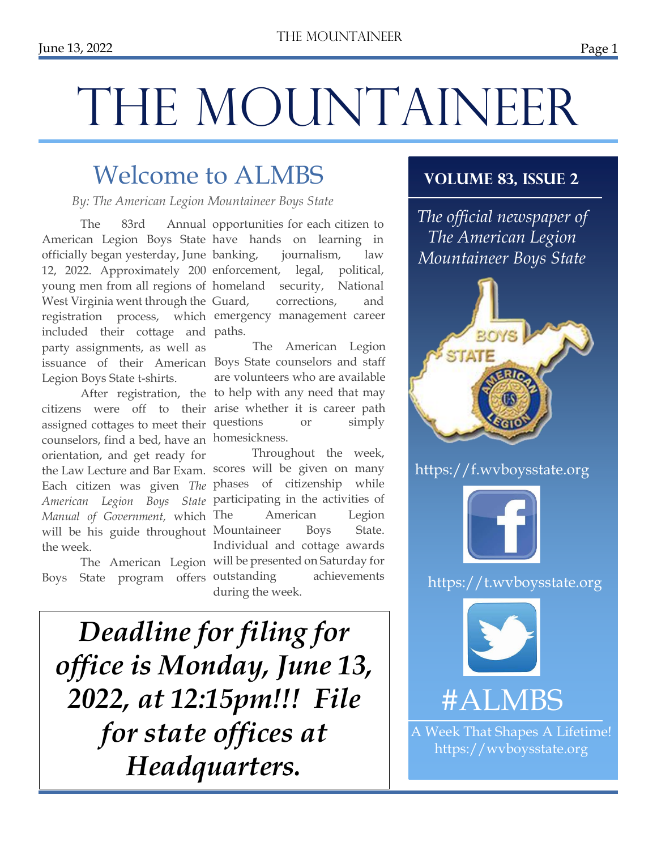, 2022

#### Page 1

# THE MOUNTAINEER

# Welcome to ALMBS

*By: The American Legion Mountaineer Boys State*

officially began yesterday, June West Virginia went through the Guard, included their cottage and paths. party assignments, as well as Legion Boys State t-shirts.

counselors, find a bed, have an homesickness. orientation, and get ready for *Manual of Government,* which the week.

Boys State program offers

The 83rd Annual opportunities for each citizen to American Legion Boys State have hands on learning in 12, 2022. Approximately 200 enforcement, legal, political, young men from all regions of homeland security, National registration process, which emergency management career journalism, law corrections, and

issuance of their American Boys State counselors and staff After registration, the to help with any need that may citizens were off to their arise whether it is career path assigned cottages to meet their questions or simply The American Legion are volunteers who are available

the Law Lecture and Bar Exam. scores will be given on many Each citizen was given *The* phases of citizenship while *American Legion Boys State*  participating in the activities of will be his guide throughout Mountaineer Boys State. The American Legion will be presented on Saturday for Throughout the week, American Legion Individual and cottage awards achievements during the week.

*Deadline for filing for office is Monday, June 13, 2022, at 12:15pm!!! File for state offices at Headquarters.*

#### **Volume 83, Issue 2**

*The official newspaper of The American Legion Mountaineer Boys State*



https://f.wvboysstate.org



https://t.wvboysstate.org



# #ALMBS

A Week That Shapes A Lifetime! https://wvboysstate.org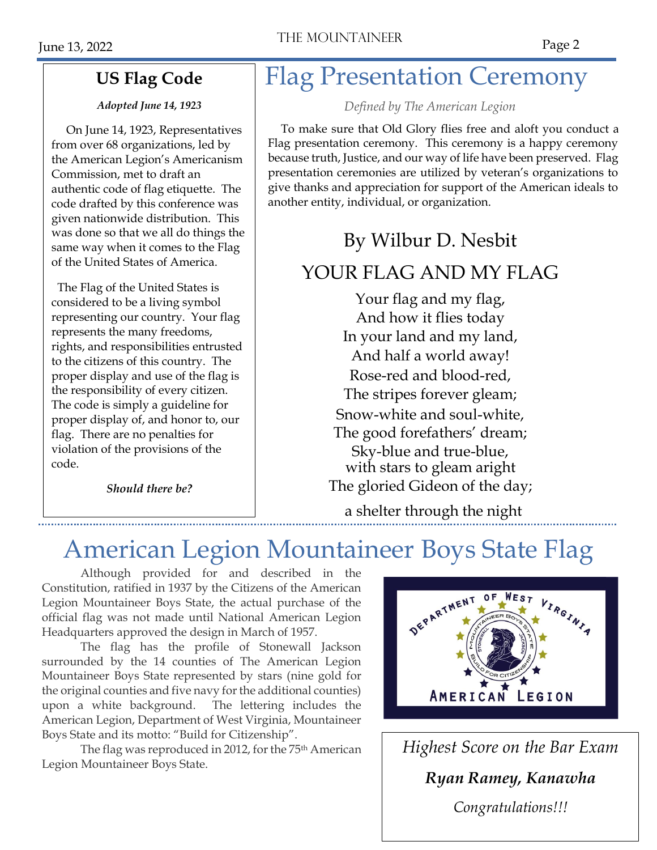#### **US Flag Code**

#### *Adopted June 14, 1923*

 On June 14, 1923, Representatives from over 68 organizations, led by the American Legion's Americanism Commission, met to draft an authentic code of flag etiquette. The code drafted by this conference was given nationwide distribution. This was done so that we all do things the same way when it comes to the Flag of the United States of America.

 The Flag of the United States is considered to be a living symbol representing our country. Your flag represents the many freedoms, rights, and responsibilities entrusted to the citizens of this country. The proper display and use of the flag is the responsibility of every citizen. The code is simply a guideline for proper display of, and honor to, our flag. There are no penalties for violation of the provisions of the code.

*Should there be?*

# Flag Presentation Ceremony

*Defined by The American Legion*

To make sure that Old Glory flies free and aloft you conduct a Flag presentation ceremony. This ceremony is a happy ceremony because truth, Justice, and our way of life have been preserved. Flag presentation ceremonies are utilized by veteran's organizations to give thanks and appreciation for support of the American ideals to another entity, individual, or organization.

# By Wilbur D. Nesbit

## YOUR FLAG AND MY FLAG

Your flag and my flag, And how it flies today In your land and my land, And half a world away! Rose-red and blood-red, The stripes forever gleam; Snow-white and soul-white, The good forefathers' dream; Sky-blue and true-blue, with stars to gleam aright The gloried Gideon of the day;

a shelter through the night

# American Legion Mountaineer Boys State Flag

Although provided for and described in the Constitution, ratified in 1937 by the Citizens of the American Legion Mountaineer Boys State, the actual purchase of the official flag was not made until National American Legion Headquarters approved the design in March of 1957.

The flag has the profile of Stonewall Jackson surrounded by the 14 counties of The American Legion Mountaineer Boys State represented by stars (nine gold for the original counties and five navy for the additional counties) upon a white background. The lettering includes the American Legion, Department of West Virginia, Mountaineer Boys State and its motto: "Build for Citizenship".

The flag was reproduced in 2012, for the 75<sup>th</sup> American Legion Mountaineer Boys State.



*Highest Score on the Bar Exam Ryan Ramey, Kanawha Congratulations!!!*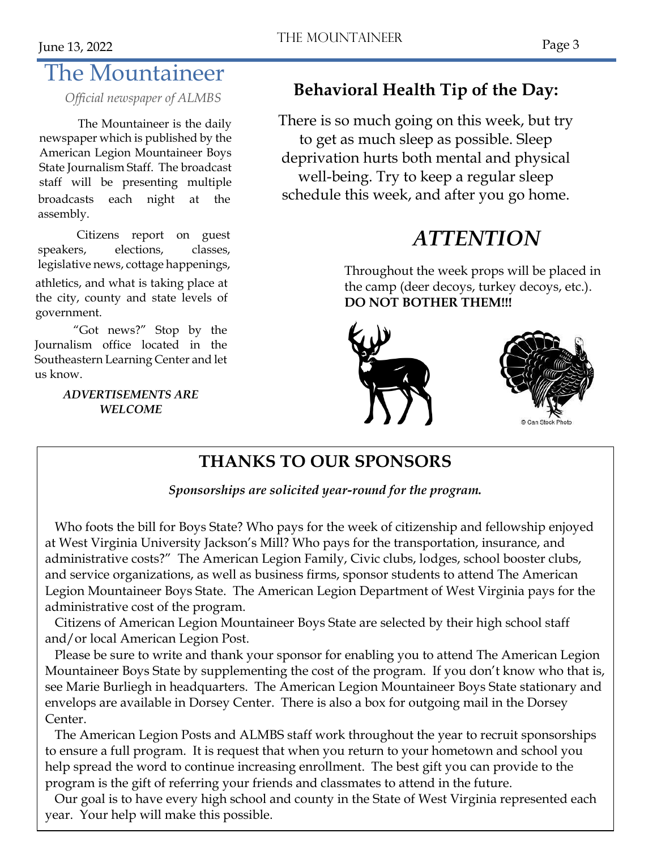# The Mountaineer

The Mountaineer is the daily newspaper which is published by the American Legion Mountaineer Boys State Journalism Staff. The broadcast staff will be presenting multiple broadcasts each night at the assembly.

Citizens report on guest speakers, elections, classes, legislative news, cottage happenings, athletics, and what is taking place at the city, county and state levels of government.

"Got news?" Stop by the Journalism office located in the Southeastern Learning Center and let us know.

#### *ADVERTISEMENTS ARE WELCOME*

# *Official newspaper of ALMBS* **Behavioral Health Tip of the Day:**

There is so much going on this week, but try to get as much sleep as possible. Sleep deprivation hurts both mental and physical well-being. Try to keep a regular sleep schedule this week, and after you go home.

# *ATTENTION*

Throughout the week props will be placed in the camp (deer decoys, turkey decoys, etc.). **DO NOT BOTHER THEM!!!**





## **THANKS TO OUR SPONSORS**

*Sponsorships are solicited year-round for the program.*

 Who foots the bill for Boys State? Who pays for the week of citizenship and fellowship enjoyed at West Virginia University Jackson's Mill? Who pays for the transportation, insurance, and administrative costs?" The American Legion Family, Civic clubs, lodges, school booster clubs, and service organizations, as well as business firms, sponsor students to attend The American Legion Mountaineer Boys State. The American Legion Department of West Virginia pays for the administrative cost of the program.

 Citizens of American Legion Mountaineer Boys State are selected by their high school staff and/or local American Legion Post.

 Please be sure to write and thank your sponsor for enabling you to attend The American Legion Mountaineer Boys State by supplementing the cost of the program. If you don't know who that is, see Marie Burliegh in headquarters. The American Legion Mountaineer Boys State stationary and envelops are available in Dorsey Center. There is also a box for outgoing mail in the Dorsey Center.

 The American Legion Posts and ALMBS staff work throughout the year to recruit sponsorships to ensure a full program. It is request that when you return to your hometown and school you help spread the word to continue increasing enrollment. The best gift you can provide to the program is the gift of referring your friends and classmates to attend in the future.

 Our goal is to have every high school and county in the State of West Virginia represented each year. Your help will make this possible.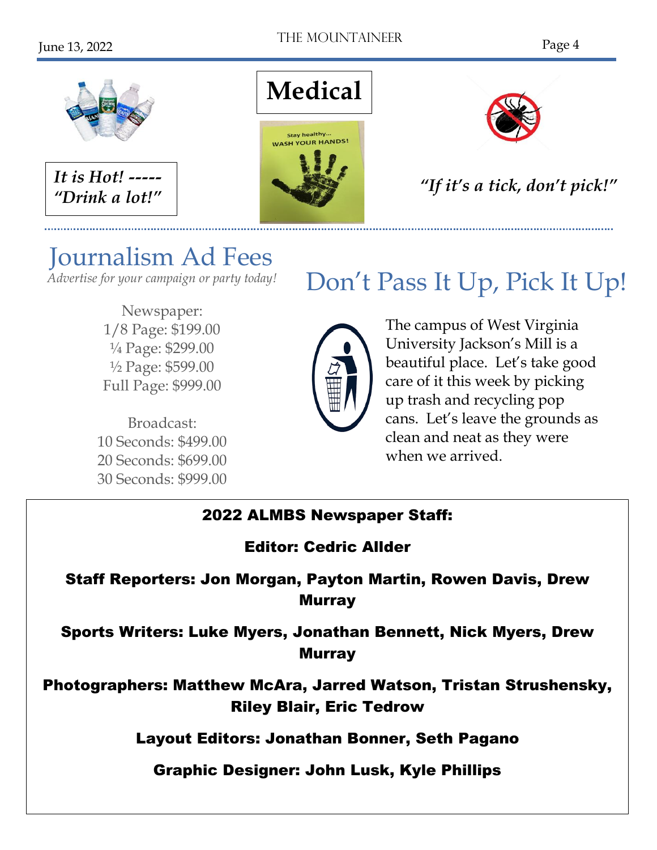

# Journalism Ad Fees

*Advertise for your campaign or party today!*

Newspaper: 1/8 Page: \$199.00 ¼ Page: \$299.00 ½ Page: \$599.00 Full Page: \$999.00

Broadcast: 10 Seconds: \$499.00 20 Seconds: \$699.00 30 Seconds: \$999.00

# Don't Pass It Up, Pick It Up!



The campus of West Virginia University Jackson's Mill is a beautiful place. Let's take good care of it this week by picking up trash and recycling pop cans. Let's leave the grounds as clean and neat as they were when we arrived.

## 2022 ALMBS Newspaper Staff:

## Editor: Cedric Allder

### Staff Reporters: Jon Morgan, Payton Martin, Rowen Davis, Drew Murray

Sports Writers: Luke Myers, Jonathan Bennett, Nick Myers, Drew Murray

Photographers: Matthew McAra, Jarred Watson, Tristan Strushensky, Riley Blair, Eric Tedrow

Layout Editors: Jonathan Bonner, Seth Pagano

Graphic Designer: John Lusk, Kyle Phillips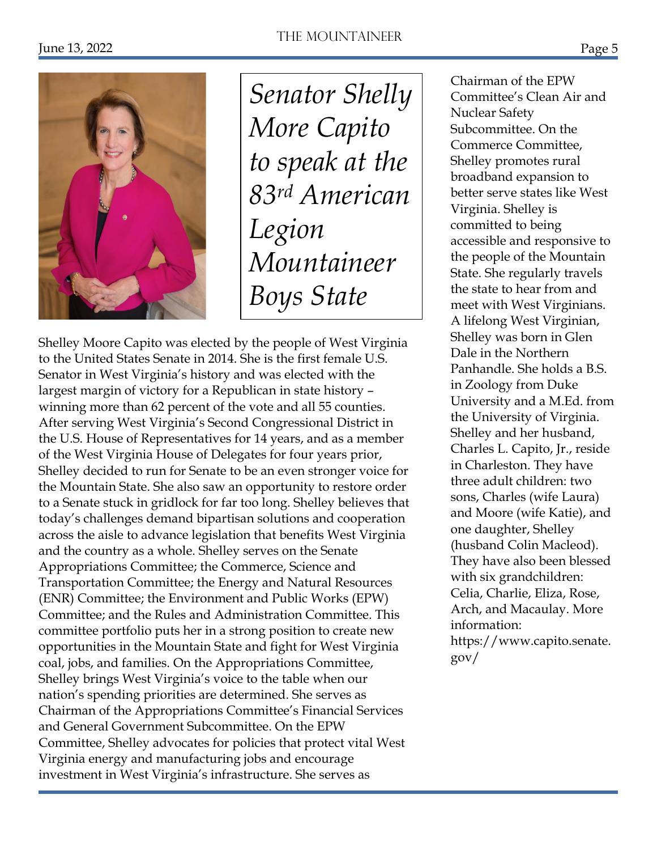

*Senator Shelly More Capito to speak at the 83rd American Legion Mountaineer Boys State*

Shelley Moore Capito was elected by the people of West Virginia to the United States Senate in 2014. She is the first female U.S. Senator in West Virginia's history and was elected with the largest margin of victory for a Republican in state history – winning more than 62 percent of the vote and all 55 counties. After serving West Virginia's Second Congressional District in the U.S. House of Representatives for 14 years, and as a member of the West Virginia House of Delegates for four years prior, Shelley decided to run for Senate to be an even stronger voice for the Mountain State. She also saw an opportunity to restore order to a Senate stuck in gridlock for far too long. Shelley believes that today's challenges demand bipartisan solutions and cooperation across the aisle to advance legislation that benefits West Virginia and the country as a whole. Shelley serves on the Senate Appropriations Committee; the Commerce, Science and Transportation Committee; the Energy and Natural Resources (ENR) Committee; the Environment and Public Works (EPW) Committee; and the Rules and Administration Committee. This committee portfolio puts her in a strong position to create new opportunities in the Mountain State and fight for West Virginia coal, jobs, and families. On the Appropriations Committee, Shelley brings West Virginia's voice to the table when our nation's spending priorities are determined. She serves as Chairman of the Appropriations Committee's Financial Services and General Government Subcommittee. On the EPW Committee, Shelley advocates for policies that protect vital West Virginia energy and manufacturing jobs and encourage investment in West Virginia's infrastructure. She serves as

Chairman of the EPW Committee's Clean Air and Nuclear Safety Subcommittee. On the Commerce Committee, Shelley promotes rural broadband expansion to better serve states like West Virginia. Shelley is committed to being accessible and responsive to the people of the Mountain State. She regularly travels the state to hear from and meet with West Virginians. A lifelong West Virginian, Shelley was born in Glen Dale in the Northern Panhandle. She holds a B.S. in Zoology from Duke University and a M.Ed. from the University of Virginia. Shelley and her husband, Charles L. Capito, Jr., reside in Charleston. They have three adult children: two sons, Charles (wife Laura) and Moore (wife Katie), and one daughter, Shelley (husband Colin Macleod). They have also been blessed with six grandchildren: Celia, Charlie, Eliza, Rose, Arch, and Macaulay. More information: https://www.capito.senate. gov/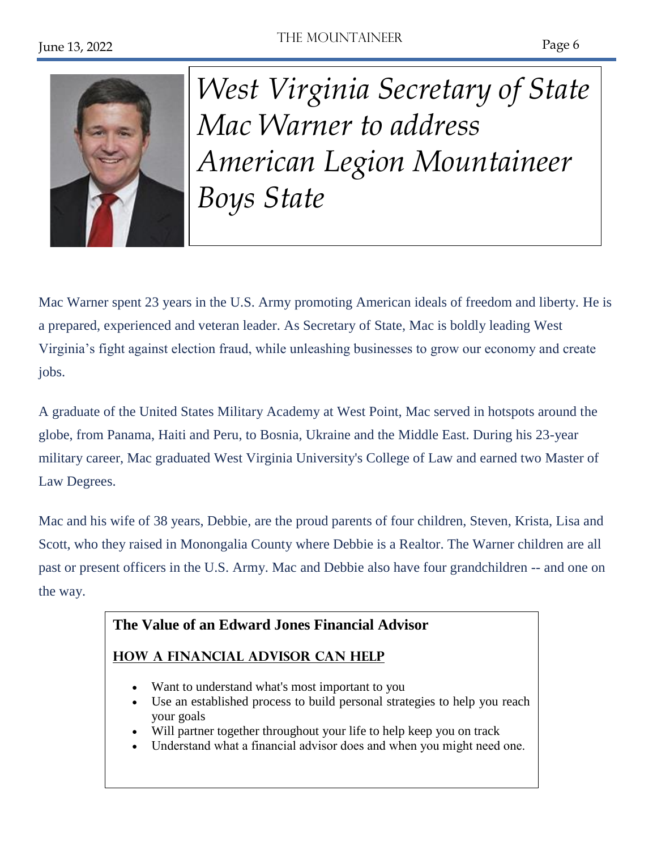

*West Virginia Secretary of State Mac Warner to address American Legion Mountaineer Boys State*

Mac Warner spent 23 years in the U.S. Army promoting American ideals of freedom and liberty. He is a prepared, experienced and veteran leader. As Secretary of State, Mac is boldly leading West Virginia's fight against election fraud, while unleashing businesses to grow our economy and create jobs.

A graduate of the United States Military Academy at West Point, Mac served in hotspots around the globe, from Panama, Haiti and Peru, to Bosnia, Ukraine and the Middle East. During his 23-year military career, Mac graduated West Virginia University's College of Law and earned two Master of Law Degrees.

Mac and his wife of 38 years, Debbie, are the proud parents of four children, Steven, Krista, Lisa and Scott, who they raised in Monongalia County where Debbie is a Realtor. The Warner children are all past or present officers in the U.S. Army. Mac and Debbie also have four grandchildren -- and one on the way.

#### **The Value of an Edward Jones Financial Advisor**

#### **How [a Financial Advisor Can Help](https://www.edwardjones.com/financial-advisor-value/how-we-help/index.html)**

- Want to understand what's most important to you
- Use an established process to build personal strategies to help you reach your goals
- Will partner together throughout your life to help keep you on track
- Understand what a financial advisor does and when you might need one.